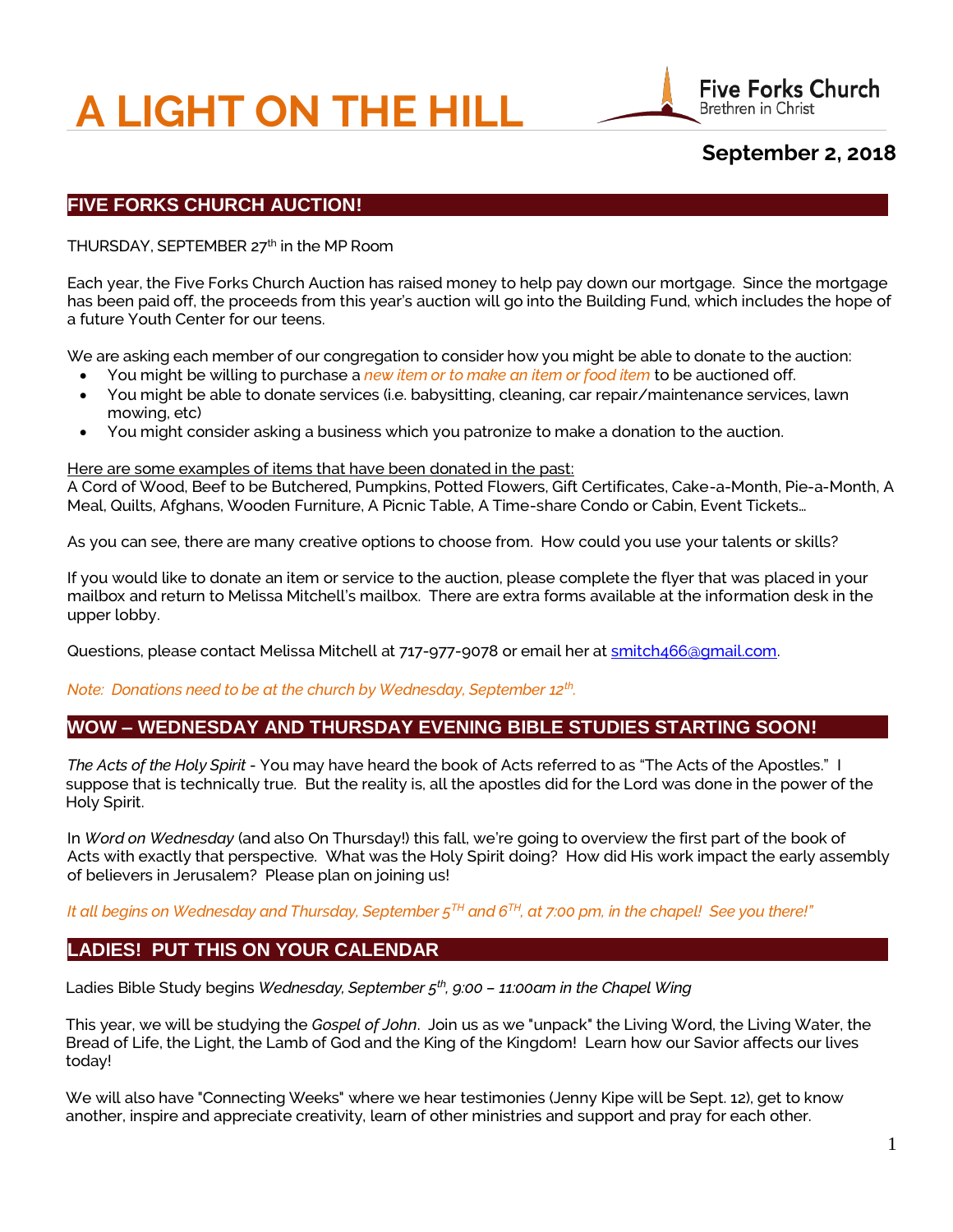# **A LIGHT ON THE HILL**



# **September 2, 2018**

# **FIVE FORKS CHURCH AUCTION!**

THURSDAY, SEPTEMBER 27<sup>th</sup> in the MP Room

Each year, the Five Forks Church Auction has raised money to help pay down our mortgage. Since the mortgage has been paid off, the proceeds from this year's auction will go into the Building Fund, which includes the hope of a future Youth Center for our teens.

We are asking each member of our congregation to consider how you might be able to donate to the auction:

- You might be willing to purchase a *new item or to make an item or food item* to be auctioned off.
- You might be able to donate services (i.e. babysitting, cleaning, car repair/maintenance services, lawn mowing, etc)
- You might consider asking a business which you patronize to make a donation to the auction.

#### Here are some examples of items that have been donated in the past:

A Cord of Wood, Beef to be Butchered, Pumpkins, Potted Flowers, Gift Certificates, Cake-a-Month, Pie-a-Month, A Meal, Quilts, Afghans, Wooden Furniture, A Picnic Table, A Time-share Condo or Cabin, Event Tickets…

As you can see, there are many creative options to choose from. How could you use your talents or skills?

If you would like to donate an item or service to the auction, please complete the flyer that was placed in your mailbox and return to Melissa Mitchell's mailbox. There are extra forms available at the information desk in the upper lobby.

Questions, please contact Melissa Mitchell at 717-977-9078 or email her a[t smitch466@gmail.com.](mailto:smitch466@gmail.com)

*Note: Donations need to be at the church by Wednesday, September 12th .*

# **WOW – WEDNESDAY AND THURSDAY EVENING BIBLE STUDIES STARTING SOON!**

*The Acts of the Holy Spirit -* You may have heard the book of Acts referred to as "The Acts of the Apostles." I suppose that is technically true. But the reality is, all the apostles did for the Lord was done in the power of the Holy Spirit.

In *Word on Wednesday* (and also On Thursday!) this fall, we're going to overview the first part of the book of Acts with exactly that perspective. What was the Holy Spirit doing? How did His work impact the early assembly of believers in Jerusalem? Please plan on joining us!

#### *It all begins on Wednesday and Thursday, September 5TH and 6TH, at 7:00 pm, in the chapel! See you there!"*

## **LADIES! PUT THIS ON YOUR CALENDAR**

Ladies Bible Study begins *Wednesday, September 5th, 9:00 – 11:00am in the Chapel Wing*

This year, we will be studying the *Gospel of John*. Join us as we "unpack" the Living Word, the Living Water, the Bread of Life, the Light, the Lamb of God and the King of the Kingdom! Learn how our Savior affects our lives today!

We will also have "Connecting Weeks" where we hear testimonies (Jenny Kipe will be Sept. 12), get to know another, inspire and appreciate creativity, learn of other ministries and support and pray for each other.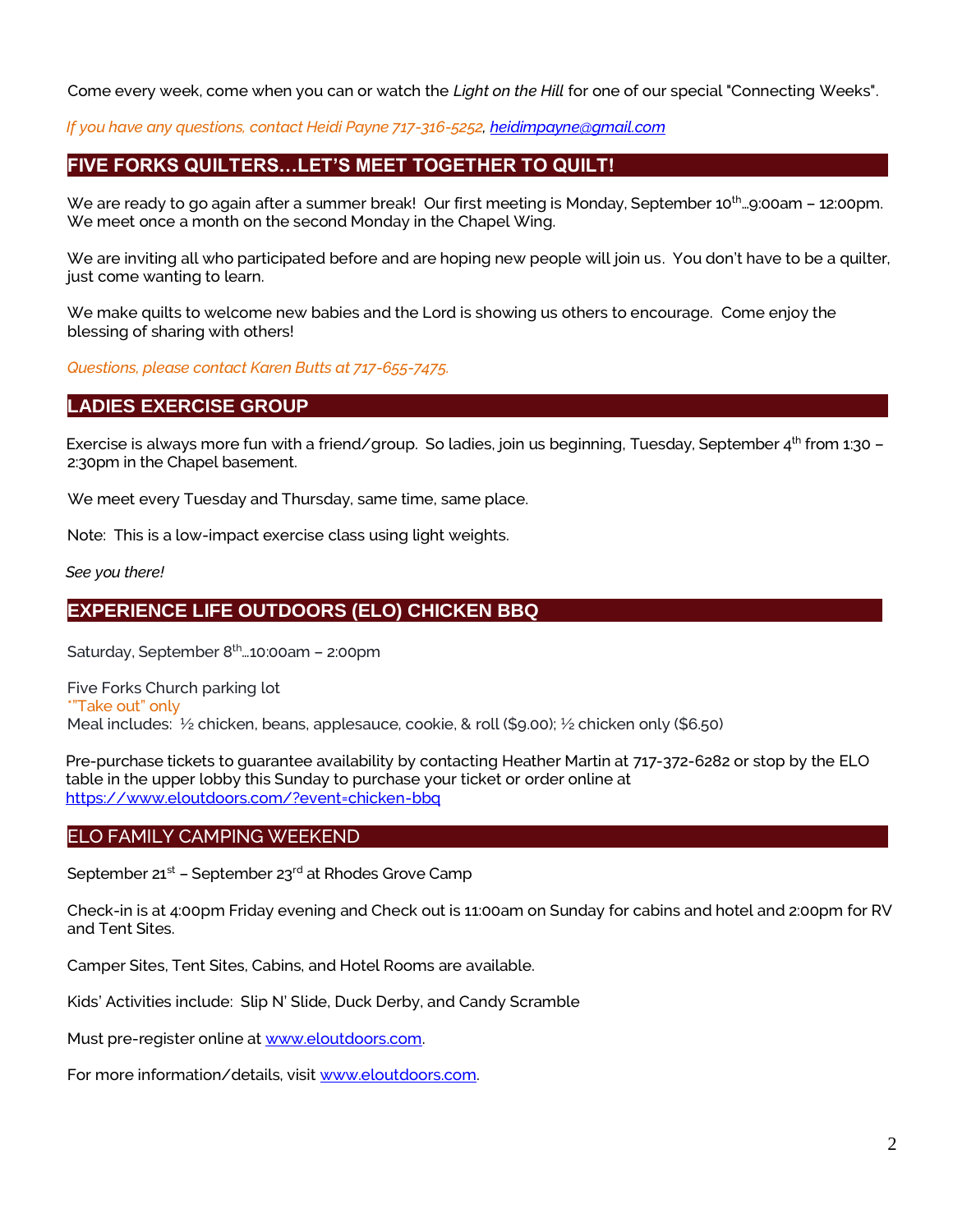Come every week, come when you can or watch the *Light on the Hill* for one of our special "Connecting Weeks".

 *If you have any questions, contact Heidi Payne 717-316-5252[, heidimpayne@gmail.com](mailto:heidimpayne@gmail.com)*

# **FIVE FORKS QUILTERS…LET'S MEET TOGETHER TO QUILT!**

We are ready to go again after a summer break! Our first meeting is Monday, September 10<sup>th</sup>...9:00am - 12:00pm. We meet once a month on the second Monday in the Chapel Wing.

We are inviting all who participated before and are hoping new people will join us. You don't have to be a quilter, just come wanting to learn.

We make quilts to welcome new babies and the Lord is showing us others to encourage. Come enjoy the blessing of sharing with others!

*Questions, please contact Karen Butts at 717-655-7475.*

# **LADIES EXERCISE GROUP**

Exercise is always more fun with a friend/group. So ladies, join us beginning, Tuesday, September  $4^{th}$  from 1:30 – 2:30pm in the Chapel basement.

We meet every Tuesday and Thursday, same time, same place.

Note: This is a low-impact exercise class using light weights.

*See you there!*

# **EXPERIENCE LIFE OUTDOORS (ELO) CHICKEN BBQ**

Saturday, September  $8<sup>th</sup>$  ... 10:00am – 2:00pm

Five Forks Church parking lot \*"Take out" only Meal includes: ½ chicken, beans, applesauce, cookie, & roll (\$9.00); ½ chicken only (\$6.50)

Pre-purchase tickets to guarantee availability by contacting Heather Martin at 717-372-6282 or stop by the ELO table in the upper lobby this Sunday to purchase your ticket or order online at <https://www.eloutdoors.com/?event=chicken-bbq>

## ELO FAMILY CAMPING WEEKEND

September  $21^{st}$  – September  $23^{rd}$  at Rhodes Grove Camp

Check-in is at 4:00pm Friday evening and Check out is 11:00am on Sunday for cabins and hotel and 2:00pm for RV and Tent Sites.

Camper Sites, Tent Sites, Cabins, and Hotel Rooms are available.

Kids' Activities include: Slip N' Slide, Duck Derby, and Candy Scramble

Must pre-register online a[t www.eloutdoors.com.](http://www.eloutdoors.com/)

For more information/details, visi[t www.eloutdoors.com.](http://www.eloutdoors.com/)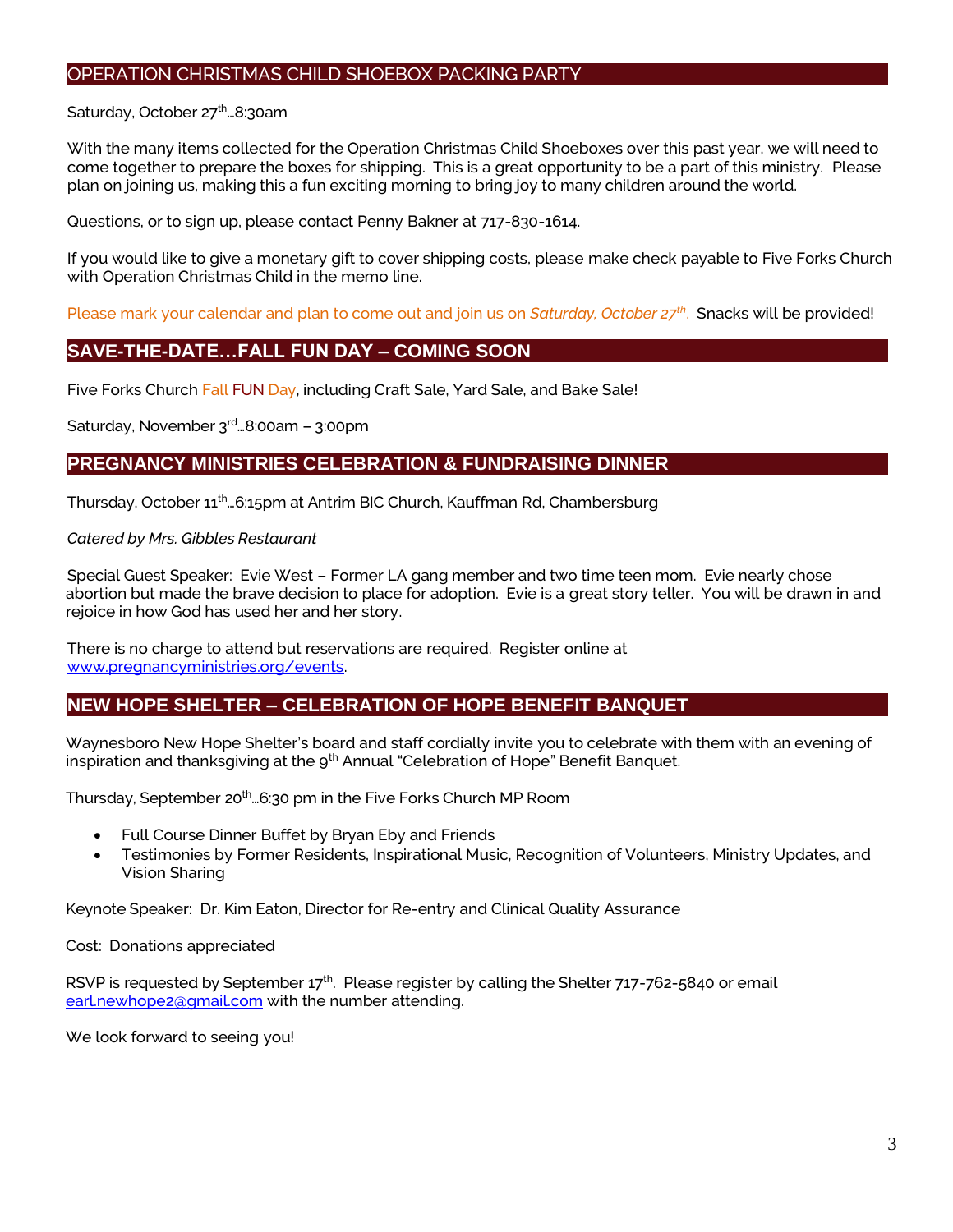## OPERATION CHRISTMAS CHILD SHOEBOX PACKING PARTY

#### Saturday, October 27<sup>th</sup>...8:30am

With the many items collected for the Operation Christmas Child Shoeboxes over this past year, we will need to come together to prepare the boxes for shipping. This is a great opportunity to be a part of this ministry. Please plan on joining us, making this a fun exciting morning to bring joy to many children around the world.

Questions, or to sign up, please contact Penny Bakner at 717-830-1614.

If you would like to give a monetary gift to cover shipping costs, please make check payable to Five Forks Church with Operation Christmas Child in the memo line.

Please mark your calendar and plan to come out and join us on *Saturday, October 27th* . Snacks will be provided!

## **SAVE-THE-DATE…FALL FUN DAY – COMING SOON**

Five Forks Church Fall FUN Day, including Craft Sale, Yard Sale, and Bake Sale!

Saturday, November 3rd…8:00am – 3:00pm

## **PREGNANCY MINISTRIES CELEBRATION & FUNDRAISING DINNER**

Thursday, October 11th…6:15pm at Antrim BIC Church, Kauffman Rd, Chambersburg

#### *Catered by Mrs. Gibbles Restaurant*

Special Guest Speaker: Evie West – Former LA gang member and two time teen mom. Evie nearly chose abortion but made the brave decision to place for adoption. Evie is a great story teller. You will be drawn in and rejoice in how God has used her and her story.

There is no charge to attend but reservations are required. Register online at [www.pregnancyministries.org/events.](http://www.pregnancyministries.org/events)

## **NEW HOPE SHELTER – CELEBRATION OF HOPE BENEFIT BANQUET**

Waynesboro New Hope Shelter's board and staff cordially invite you to celebrate with them with an evening of inspiration and thanksgiving at the 9<sup>th</sup> Annual "Celebration of Hope" Benefit Banquet.

Thursday, September 20<sup>th</sup>...6:30 pm in the Five Forks Church MP Room

- Full Course Dinner Buffet by Bryan Eby and Friends
- Testimonies by Former Residents, Inspirational Music, Recognition of Volunteers, Ministry Updates, and Vision Sharing

Keynote Speaker: Dr. Kim Eaton, Director for Re-entry and Clinical Quality Assurance

Cost: Donations appreciated

RSVP is requested by September  $17<sup>th</sup>$ . Please register by calling the Shelter 717-762-5840 or email [earl.newhope2@gmail.com](mailto:earl.newhope2@gmail.com) with the number attending.

We look forward to seeing you!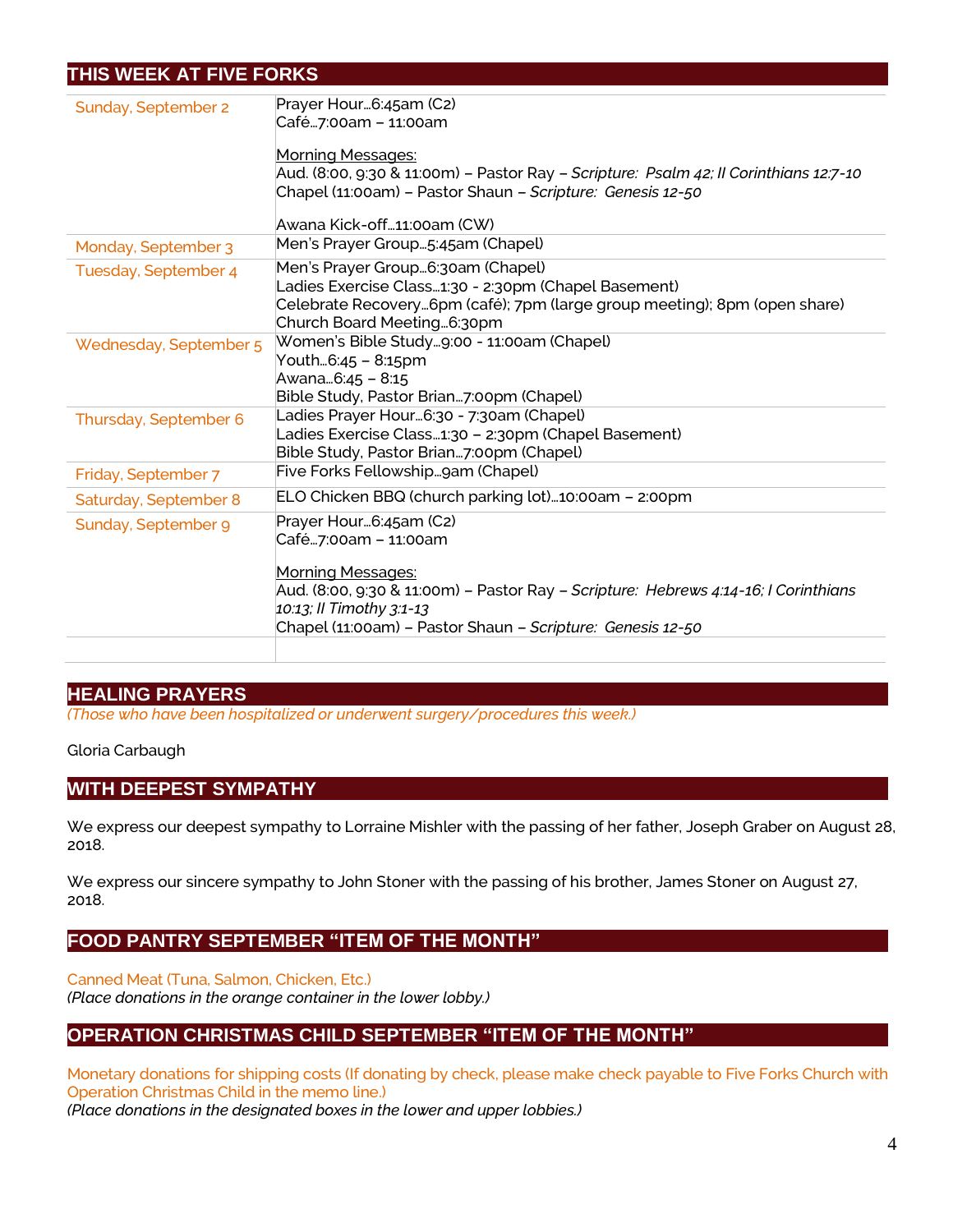# **THIS WEEK AT FIVE FORKS**

| Sunday, September 2    | Prayer Hour6:45am (C2)<br>Café7:00am - 11:00am                                        |
|------------------------|---------------------------------------------------------------------------------------|
|                        |                                                                                       |
|                        | <b>Morning Messages:</b>                                                              |
|                        | Aud. (8:00, 9:30 & 11:00m) - Pastor Ray - Scripture: Psalm 42; Il Corinthians 12:7-10 |
|                        | Chapel (11:00am) - Pastor Shaun - Scripture: Genesis 12-50                            |
|                        | Awana Kick-off11:00am (CW)                                                            |
| Monday, September 3    | Men's Prayer Group5:45am (Chapel)                                                     |
| Tuesday, September 4   | Men's Prayer Group6:30am (Chapel)                                                     |
|                        | Ladies Exercise Class1:30 - 2:30pm (Chapel Basement)                                  |
|                        | Celebrate Recovery6pm (café); 7pm (large group meeting); 8pm (open share)             |
|                        | Church Board Meeting 6:30pm                                                           |
| Wednesday, September 5 | Women's Bible Study9:00 - 11:00am (Chapel)                                            |
|                        | Youth6:45 – 8:15pm                                                                    |
|                        | Awana6:45 - 8:15                                                                      |
|                        | Bible Study, Pastor Brian7:00pm (Chapel)                                              |
| Thursday, September 6  | Ladies Prayer Hour6:30 - 7:30am (Chapel)                                              |
|                        | Ladies Exercise Class1:30 - 2:30pm (Chapel Basement)                                  |
|                        | Bible Study, Pastor Brian7:00pm (Chapel)                                              |
| Friday, September 7    | Five Forks Fellowshipgam (Chapel)                                                     |
| Saturday, September 8  | ELO Chicken BBQ (church parking lot)10:00am - 2:00pm                                  |
| Sunday, September 9    | Prayer Hour6:45am (C2)                                                                |
|                        | Café7:00am - 11:00am                                                                  |
|                        |                                                                                       |
|                        | <b>Morning Messages:</b>                                                              |
|                        | Aud. (8:00, 9:30 & 11:00m) – Pastor Ray – Scripture: Hebrews 4:14-16; I Corinthians   |
|                        | 10:13; Il Timothy 3:1-13                                                              |
|                        | Chapel (11:00am) - Pastor Shaun - Scripture: Genesis 12-50                            |
|                        |                                                                                       |
|                        |                                                                                       |

## **HEALING PRAYERS**

*(Those who have been hospitalized or underwent surgery/procedures this week.)*

#### Gloria Carbaugh

## **WITH DEEPEST SYMPATHY**

We express our deepest sympathy to Lorraine Mishler with the passing of her father, Joseph Graber on August 28, 2018.

We express our sincere sympathy to John Stoner with the passing of his brother, James Stoner on August 27, 2018.

# **FOOD PANTRY SEPTEMBER "ITEM OF THE MONTH"**

Canned Meat (Tuna, Salmon, Chicken, Etc.)

*(Place donations in the orange container in the lower lobby.)*

# **OPERATION CHRISTMAS CHILD SEPTEMBER "ITEM OF THE MONTH"**

Monetary donations for shipping costs (If donating by check, please make check payable to Five Forks Church with Operation Christmas Child in the memo line.)

*(Place donations in the designated boxes in the lower and upper lobbies.)*